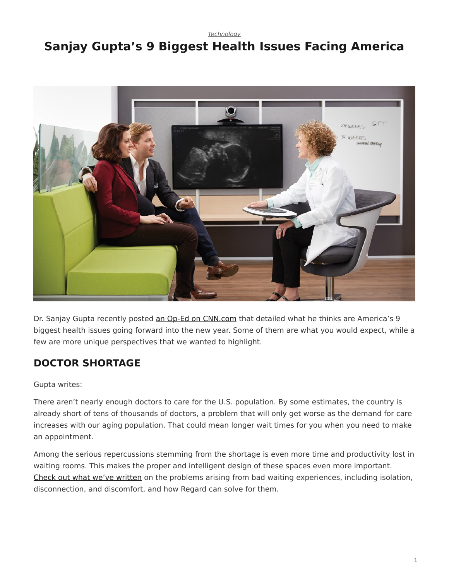#### *[Technology](https://www.steelcase.com/research/topics/technology/)*

# <span id="page-0-0"></span>**Sanjay Gupta's 9 Biggest Health Issues Facing America**



Dr. Sanjay Gupta recently posted [an Op-Ed on CNN.com](http://www.cnn.com/2015/01/02/opinion/gupta-health-challenges-2015/index.html) that detailed what he thinks are America's 9 biggest health issues going forward into the new year. Some of them are what you would expect, while a few are more unique perspectives that we wanted to highlight.

## **DOCTOR SHORTAGE**

### Gupta writes:

There aren't nearly enough doctors to care for the U.S. population. By some estimates, the country is already short of tens of thousands of doctors, a problem that will only get worse as the demand for care increases with our aging population. That could mean longer wait times for you when you need to make an appointment.

Among the serious repercussions stemming from the shortage is even more time and productivity lost in waiting rooms. This makes the proper and intelligent design of these spaces even more important. [Check out what we've written](/blog/patient-discomfort-and-how-common-areas-can-help/) on the problems arising from bad waiting experiences, including isolation, disconnection, and discomfort, and how Regard can solve for them.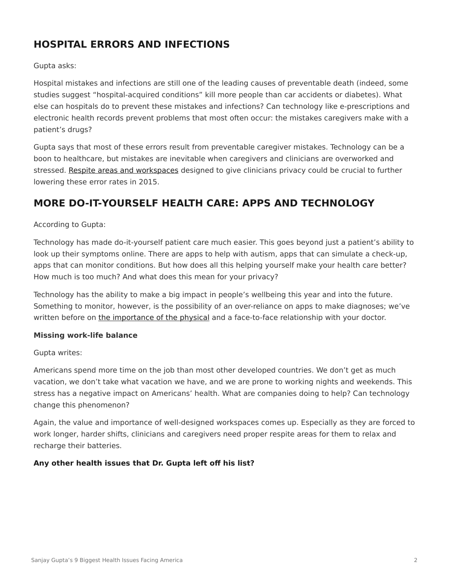## **HOSPITAL ERRORS AND INFECTIONS**

### Gupta asks:

Hospital mistakes and infections are still one of the leading causes of preventable death (indeed, some studies suggest "hospital-acquired conditions" kill more people than car accidents or diabetes). What else can hospitals do to prevent these mistakes and infections? Can technology like e-prescriptions and electronic health records prevent problems that most often occur: the mistakes caregivers make with a patient's drugs?

Gupta says that most of these errors result from preventable caregiver mistakes. Technology can be a boon to healthcare, but mistakes are inevitable when caregivers and clinicians are overworked and stressed. [Respite areas and workspaces](/blog/a-time-for-change-in-clinician-workspaces/) designed to give clinicians privacy could be crucial to further lowering these error rates in 2015.

# **MORE DO-IT-YOURSELF HEALTH CARE: APPS AND TECHNOLOGY**

### According to Gupta:

Technology has made do-it-yourself patient care much easier. This goes beyond just a patient's ability to look up their symptoms online. There are apps to help with autism, apps that can simulate a check-up, apps that can monitor conditions. But how does all this helping yourself make your health care better? How much is too much? And what does this mean for your privacy?

Technology has the ability to make a big impact in people's wellbeing this year and into the future. Something to monitor, however, is the possibility of an over-reliance on apps to make diagnoses; we've written before on [the importance of the physical](/blog/skip-your-annual-physical) and a face-to-face relationship with your doctor.

### **Missing work-life balance**

Gupta writes:

Americans spend more time on the job than most other developed countries. We don't get as much vacation, we don't take what vacation we have, and we are prone to working nights and weekends. This stress has a negative impact on Americans' health. What are companies doing to help? Can technology change this phenomenon?

Again, the value and importance of well-designed workspaces comes up. Especially as they are forced to work longer, harder shifts, clinicians and caregivers need proper respite areas for them to relax and recharge their batteries.

### **Any other health issues that Dr. Gupta left off his list?**